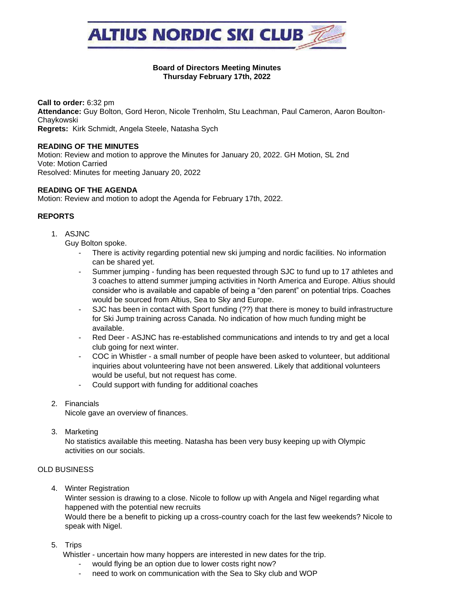

### **Board of Directors Meeting Minutes Thursday February 17th, 2022**

**Call to order:** 6:32 pm **Attendance:** Guy Bolton, Gord Heron, Nicole Trenholm, Stu Leachman, Paul Cameron, Aaron Boulton-Chaykowski **Regrets:** Kirk Schmidt, Angela Steele, Natasha Sych

#### **READING OF THE MINUTES**

Motion: Review and motion to approve the Minutes for January 20, 2022. GH Motion, SL 2nd Vote: Motion Carried Resolved: Minutes for meeting January 20, 2022

### **READING OF THE AGENDA**

Motion: Review and motion to adopt the Agenda for February 17th, 2022.

### **REPORTS**

1. ASJNC

Guy Bolton spoke.

- There is activity regarding potential new ski jumping and nordic facilities. No information can be shared yet.
- Summer jumping funding has been requested through SJC to fund up to 17 athletes and 3 coaches to attend summer jumping activities in North America and Europe. Altius should consider who is available and capable of being a "den parent" on potential trips. Coaches would be sourced from Altius, Sea to Sky and Europe.
- SJC has been in contact with Sport funding (??) that there is money to build infrastructure for Ski Jump training across Canada. No indication of how much funding might be available.
- Red Deer ASJNC has re-established communications and intends to try and get a local club going for next winter.
- COC in Whistler a small number of people have been asked to volunteer, but additional inquiries about volunteering have not been answered. Likely that additional volunteers would be useful, but not request has come.
- Could support with funding for additional coaches
- 2. Financials

Nicole gave an overview of finances.

3. Marketing

No statistics available this meeting. Natasha has been very busy keeping up with Olympic activities on our socials.

## OLD BUSINESS

4. Winter Registration

Winter session is drawing to a close. Nicole to follow up with Angela and Nigel regarding what happened with the potential new recruits

Would there be a benefit to picking up a cross-country coach for the last few weekends? Nicole to speak with Nigel.

5. Trips

Whistler - uncertain how many hoppers are interested in new dates for the trip.

- would flying be an option due to lower costs right now?
- need to work on communication with the Sea to Sky club and WOP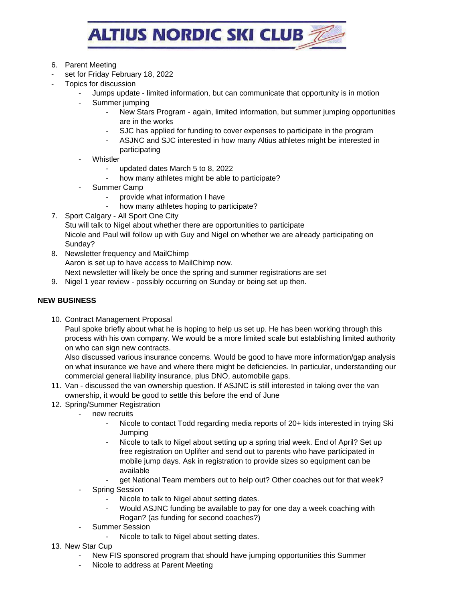

- 6. Parent Meeting
- set for Friday February 18, 2022
- Topics for discussion
	- Jumps update limited information, but can communicate that opportunity is in motion
	- Summer jumping
		- New Stars Program again, limited information, but summer jumping opportunities are in the works
		- SJC has applied for funding to cover expenses to participate in the program
		- ASJNC and SJC interested in how many Altius athletes might be interested in participating
	- **Whistler** 
		- updated dates March 5 to 8, 2022
		- how many athletes might be able to participate?
	- Summer Camp
		- provide what information I have
		- how many athletes hoping to participate?
- 7. Sport Calgary All Sport One City
	- Stu will talk to Nigel about whether there are opportunities to participate Nicole and Paul will follow up with Guy and Nigel on whether we are already participating on Sunday?
- 8. Newsletter frequency and MailChimp Aaron is set up to have access to MailChimp now. Next newsletter will likely be once the spring and summer registrations are set
- 9. Nigel 1 year review possibly occurring on Sunday or being set up then.

# **NEW BUSINESS**

10. Contract Management Proposal

Paul spoke briefly about what he is hoping to help us set up. He has been working through this process with his own company. We would be a more limited scale but establishing limited authority on who can sign new contracts.

Also discussed various insurance concerns. Would be good to have more information/gap analysis on what insurance we have and where there might be deficiencies. In particular, understanding our commercial general liability insurance, plus DNO, automobile gaps.

- 11. Van discussed the van ownership question. If ASJNC is still interested in taking over the van ownership, it would be good to settle this before the end of June
- 12. Spring/Summer Registration
	- new recruits
		- Nicole to contact Todd regarding media reports of 20+ kids interested in trying Ski Jumping
		- Nicole to talk to Nigel about setting up a spring trial week. End of April? Set up free registration on Uplifter and send out to parents who have participated in mobile jump days. Ask in registration to provide sizes so equipment can be available
		- get National Team members out to help out? Other coaches out for that week?
	- Spring Session
		- Nicole to talk to Nigel about setting dates.
		- Would ASJNC funding be available to pay for one day a week coaching with Rogan? (as funding for second coaches?)
	- Summer Session
		- Nicole to talk to Nigel about setting dates.
- 13. New Star Cup
	- New FIS sponsored program that should have jumping opportunities this Summer
	- Nicole to address at Parent Meeting